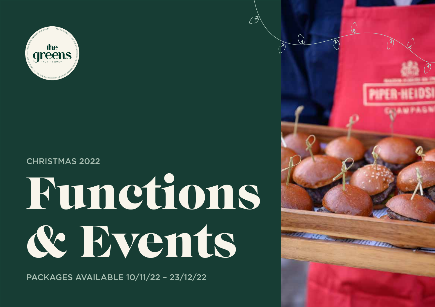

#### CHRISTMAS 2022

# Functions & Events

PACKAGES AVAILABLE 10/11/22 – 23/12/22

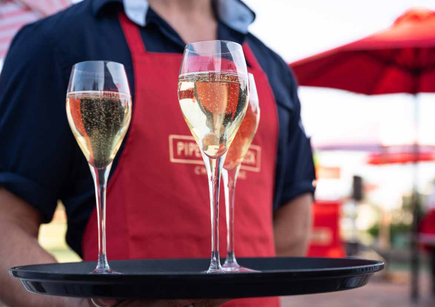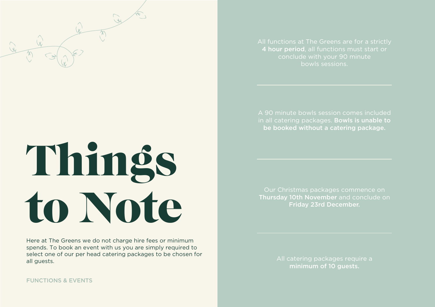All functions at The Greens are for a strictly 4 hour period, all functions must start or conclude with your 90 minute bowls sessions.

A 90 minute bowls session comes included in all catering packages. Bowls is unable to be booked without a catering package.

Our Christmas packages commence on Thursday 10th November and conclude on Friday 23rd December.

> All catering packages require a minimum of 10 guests.

# Things to Note

Here at The Greens we do not charge hire fees or minimum spends. To book an event with us you are simply required to select one of our per head catering packages to be chosen for all guests.

**FUNCTIONS & EVENTS**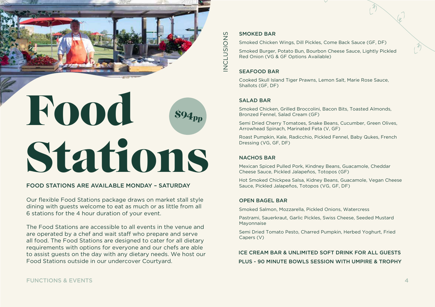

### Food Stations \$94pp

#### FOOD STATIONS ARE AVAILABLE MONDAY – SATURDAY

Our flexible Food Stations package draws on market stall style dining with guests welcome to eat as much or as little from all 6 stations for the 4 hour duration of your event.

The Food Stations are accessible to all events in the venue and are operated by a chef and wait staff who prepare and serve all food. The Food Stations are designed to cater for all dietary requirements with options for everyone and our chefs are able to assist guests on the day with any dietary needs. We host our Food Stations outside in our undercover Courtyard.

### $\omega$ INCLUSIONS **INCLUSIONS**

#### SMOKED BAR

Smoked Chicken Wings, Dill Pickles, Come Back Sauce (GF, DF)

Smoked Burger, Potato Bun, Bourbon Cheese Sauce, Lightly Pickled Red Onion (VG & GF Options Available)

#### SEAFOOD BAR

Cooked Skull Island Tiger Prawns, Lemon Salt, Marie Rose Sauce, Shallots (GF, DF)

#### SALAD BAR

Smoked Chicken, Grilled Broccolini, Bacon Bits, Toasted Almonds, Bronzed Fennel, Salad Cream (GF)

Semi Dried Cherry Tomatoes, Snake Beans, Cucumber, Green Olives, Arrowhead Spinach, Marinated Feta (V, GF)

Roast Pumpkin, Kale, Radicchio, Pickled Fennel, Baby Qukes, French Dressing (VG, GF, DF)

#### NACHOS BAR

Mexican Spiced Pulled Pork, Kindney Beans, Guacamole, Cheddar Cheese Sauce, Pickled Jalapeños, Totopos (GF)

Hot Smoked Chickpea Salsa, Kidney Beans, Guacamole, Vegan Cheese Sauce, Pickled Jalapeños, Totopos (VG, GF, DF)

#### OPEN BAGEL BAR

Smoked Salmon, Mozzarella, Pickled Onions, Watercress

Pastrami, Sauerkraut, Garlic Pickles, Swiss Cheese, Seeded Mustard Mayonnaise

Semi Dried Tomato Pesto, Charred Pumpkin, Herbed Yoghurt, Fried Capers (V)

ICE CREAM BAR & UNLIMITED SOFT DRINK FOR ALL GUESTS PLUS - 90 MINUTE BOWLS SESSION WITH UMPIRE & TROPHY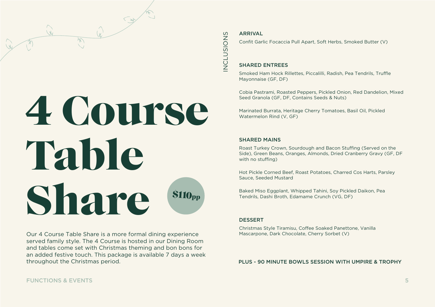$\vee$ 

### **INCLUSIONS** INCLUSIONS

**ARRIVAL** 

SHARED ENTREES Smoked Ham Hock Rillettes, Piccalilli, Radish, Pea Tendrils, Truffle Mayonnaise (GF, DF)

Cobia Pastrami, Roasted Peppers, Pickled Onion, Red Dandelion, Mixed Seed Granola (GF, DF, Contains Seeds & Nuts)

Marinated Burrata, Heritage Cherry Tomatoes, Basil Oil, Pickled Watermelon Rind (V, GF)

Confit Garlic Focaccia Pull Apart, Soft Herbs, Smoked Butter (V)

#### SHARED MAINS

Roast Turkey Crown, Sourdough and Bacon Stuffing (Served on the Side), Green Beans, Oranges, Almonds, Dried Cranberry Gravy (GF, DF with no stuffing)

Hot Pickle Corned Beef, Roast Potatoes, Charred Cos Harts, Parsley Sauce, Seeded Mustard

Baked Miso Eggplant, Whipped Tahini, Soy Pickled Daikon, Pea Tendrils, Dashi Broth, Edamame Crunch (VG, DF)

#### DESSERT

Christmas Style Tiramisu, Coffee Soaked Panettone, Vanilla Mascarpone, Dark Chocolate, Cherry Sorbet (V)

PLUS - 90 MINUTE BOWLS SESSION WITH UMPIRE & TROPHY

### 4 Course Table Share \$110<sub>pp</sub>

Our 4 Course Table Share is a more formal dining experience served family style. The 4 Course is hosted in our Dining Room and tables come set with Christmas theming and bon bons for an added festive touch. This package is available 7 days a week throughout the Christmas period.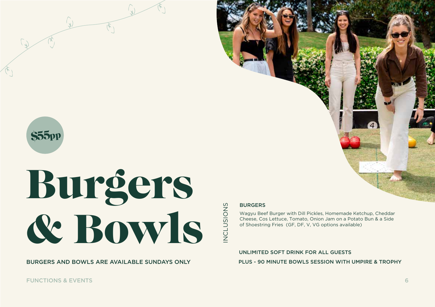

## Burgers BURGERS<br>
Wagyu Beef Burger with Dill Pickles, Homemade Ketchup, Cheddar<br>
Cheese, Cos Lettuce, Tomato, Onion Jam on a Potato Bun & a Side<br>
of Shoestring Fries (GF, DF, V, VG options available)<br>  $\frac{U}{Z}$

BURGERS AND BOWLS ARE AVAILABLE SUNDAYS ONLY

INCLUSIONS

#### BURGERS

Cheese, Cos Lettuce, Tomato, Onion Jam on a Potato Bun & a Side of Shoestring Fries (GF, DF, V, VG options available)

#### UNLIMITED SOFT DRINK FOR ALL GUESTS PLUS - 90 MINUTE BOWLS SESSION WITH UMPIRE & TROPHY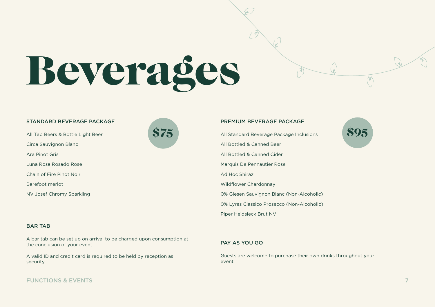## Beverages

#### STANDARD BEVERAGE PACKAGE

- All Tap Beers & Bottle Light Beer
- Circa Sauvignon Blanc

Ara Pinot Gris

Luna Rosa Rosado Rose

Chain of Fire Pinot Noir

Barefoot merlot

NV Josef Chromy Sparkling

#### BAR TAB

A bar tab can be set up on arrival to be charged upon consumption at the conclusion of your event.

A valid ID and credit card is required to be held by reception as security.

#### **FUNCTIONS & EVENTS** 7

| <b>\$75</b> |  |
|-------------|--|
|             |  |
|             |  |

#### PREMIUM BEVERAGE PACKAGE

All Standard Beverage Package Inclusions All Bottled & Canned Beer All Bottled & Canned Cider Marquis De Pennautier Rose Ad Hoc Shiraz Wildflower Chardonnay 0% Giesen Sauvignon Blanc (Non-Alcoholic) 0% Lyres Classico Prosecco (Non-Alcoholic) Piper Heidsieck Brut NV

#### PAY AS YOU GO

Guests are welcome to purchase their own drinks throughout your event.

\$95

ゲ